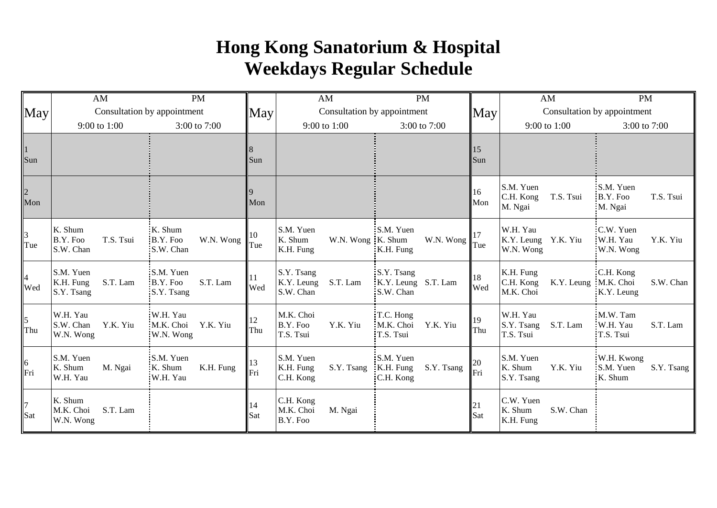## **Hong Kong Sanatorium & Hospital Weekdays Regular Schedule**

|                                             | AM                                               | <b>PM</b>                                              |                      | AM                                                     | <b>PM</b>                                           |            | AM                                                            | <b>PM</b>                                        |  |
|---------------------------------------------|--------------------------------------------------|--------------------------------------------------------|----------------------|--------------------------------------------------------|-----------------------------------------------------|------------|---------------------------------------------------------------|--------------------------------------------------|--|
| $\mathbf{May}$                              | Consultation by appointment                      |                                                        | $\mathbf{May}$       | Consultation by appointment                            |                                                     | <b>May</b> | Consultation by appointment                                   |                                                  |  |
|                                             | 9:00 to 1:00<br>3:00 to $7:00$                   |                                                        |                      | 9:00 to 1:00                                           | 3:00 to 7:00                                        |            | 9:00 to 1:00                                                  | 3:00 to 7:00                                     |  |
| $\frac{1}{\text{Sun}}$                      |                                                  |                                                        | 8<br>Sun             |                                                        |                                                     | 15<br>Sun  |                                                               |                                                  |  |
| $\frac{2}{\text{Mon}}$                      |                                                  |                                                        | Mon                  |                                                        |                                                     | 16<br>Mon  | S.M. Yuen<br>C.H. Kong<br>T.S. Tsui<br>M. Ngai                | S.M. Yuen<br>B.Y. Foo<br>T.S. Tsui<br>M. Ngai    |  |
| $\frac{3}{1}$ Tue                           | K. Shum<br>T.S. Tsui<br>B.Y. Foo<br>S.W. Chan    | K. Shum<br>W.N. Wong<br>B.Y. Foo<br>S.W. Chan          | 10<br>Tue            | S.M. Yuen<br>K. Shum<br>W.N. Wong K. Shum<br>K.H. Fung | $:SM.$ Yuen<br>W.N. Wong<br>$K.H.$ Fung             | 17<br>Tue  | W.H. Yau<br>K.Y. Leung Y.K. Yiu<br>W.N. Wong                  | :C.W. Yuen<br>W.H. Yau<br>Y.K. Yiu<br>W.N. Wong  |  |
| $\begin{cases} 4 \\ \text{Wed} \end{cases}$ | S.M. Yuen<br>S.T. Lam<br>K.H. Fung<br>S.Y. Tsang | S.M. Yuen<br>S.T. Lam<br>B.Y. Foo<br>S.Y. Tsang        | <sup>11</sup><br>Wed | S.Y. Tsang<br>K.Y. Leung<br>S.T. Lam<br>S.W. Chan      | S.Y. Tsang<br>K.Y. Leung S.T. Lam<br>S.W. Chan      | 18<br>Wed  | K.H. Fung<br>C.H. Kong<br>K.Y. Leung : M.K. Choi<br>M.K. Choi | C.H. Kong<br>S.W. Chan<br>K.Y. Leung             |  |
| $\frac{5}{\text{Thu}}$                      | W.H. Yau<br>S.W. Chan<br>Y.K. Yiu<br>W.N. Wong   | :W.H. Yau<br>M.K. Choi<br>Y.K. Yiu<br>W.N. Wong        | 12<br>Thu            | M.K. Choi<br>B.Y. Foo<br>Y.K. Yiu<br>T.S. Tsui         | T.C. Hong<br>M.K. Choi<br>Y.K. Yiu<br>T.S. Tsui     | 19<br>Thu  | W.H. Yau<br>S.Y. Tsang<br>S.T. Lam<br>T.S. Tsui               | M.W. Tam<br>:W.H. Yau<br>S.T. Lam<br>T.S. Tsui   |  |
| $rac{6}{\text{Fri}}$                        | S.M. Yuen<br>K. Shum<br>M. Ngai<br>W.H. Yau      | : <b>S.M. Yuen</b><br>K. Shum<br>K.H. Fung<br>W.H. Yau | 13<br>Fri            | S.M. Yuen<br>K.H. Fung<br>S.Y. Tsang<br>C.H. Kong      | S.M. Yuen<br>S.Y. Tsang<br>$K.H.$ Fung<br>C.H. Kong | 20<br>Fri  | S.M. Yuen<br>K. Shum<br>Y.K. Yiu<br>S.Y. Tsang                | W.H. Kwong<br>S.M. Yuen<br>S.Y. Tsang<br>K. Shum |  |
| $\frac{7}{\text{Sat}}$                      | K. Shum<br>S.T. Lam<br>M.K. Choi<br>W.N. Wong    |                                                        | 14<br>Sat            | C.H. Kong<br>M.K. Choi<br>M. Ngai<br>B.Y. Foo          |                                                     | 21<br>Sat  | C.W. Yuen<br>K. Shum<br>S.W. Chan<br>K.H. Fung                |                                                  |  |